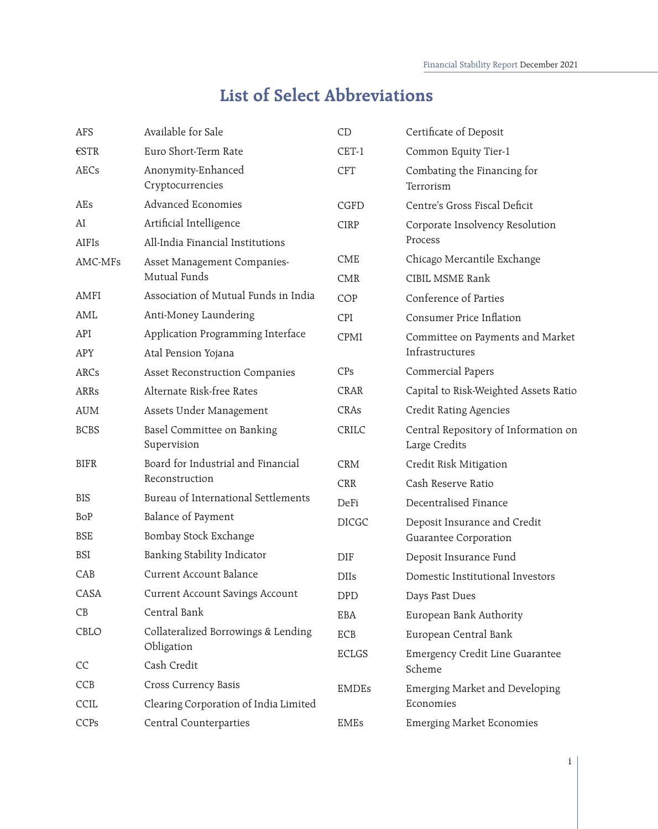## **List of Select Abbreviations**

| <b>AFS</b>     | Available for Sale                          | CD           | Certificate of Deposit                                |
|----------------|---------------------------------------------|--------------|-------------------------------------------------------|
| $\epsilon$ STR | Euro Short-Term Rate                        | CET-1        | Common Equity Tier-1                                  |
| <b>AECs</b>    | Anonymity-Enhanced<br>Cryptocurrencies      | <b>CFT</b>   | Combating the Financing for<br>Terrorism              |
| AEs            | <b>Advanced Economies</b>                   | CGFD         | Centre's Gross Fiscal Deficit                         |
| AI             | Artificial Intelligence                     | <b>CIRP</b>  | Corporate Insolvency Resolution                       |
| AIFIs          | All-India Financial Institutions            |              | Process                                               |
| AMC-MFs        | Asset Management Companies-<br>Mutual Funds | <b>CME</b>   | Chicago Mercantile Exchange                           |
|                |                                             | <b>CMR</b>   | <b>CIBIL MSME Rank</b>                                |
| AMFI           | Association of Mutual Funds in India        | COP          | Conference of Parties                                 |
| AML            | Anti-Money Laundering                       | CPI          | <b>Consumer Price Inflation</b>                       |
| API            | Application Programming Interface           | CPMI         | Committee on Payments and Market                      |
| <b>APY</b>     | Atal Pension Yojana                         |              | Infrastructures                                       |
| ARCs           | <b>Asset Reconstruction Companies</b>       | CPs          | Commercial Papers                                     |
| <b>ARRs</b>    | Alternate Risk-free Rates                   | <b>CRAR</b>  | Capital to Risk-Weighted Assets Ratio                 |
| <b>AUM</b>     | Assets Under Management                     | CRAs         | <b>Credit Rating Agencies</b>                         |
| <b>BCBS</b>    | Basel Committee on Banking<br>Supervision   | CRILC        | Central Repository of Information on<br>Large Credits |
| <b>BIFR</b>    | Board for Industrial and Financial          | <b>CRM</b>   | Credit Risk Mitigation                                |
|                | Reconstruction                              | <b>CRR</b>   | Cash Reserve Ratio                                    |
| <b>BIS</b>     | <b>Bureau of International Settlements</b>  | DeFi         | Decentralised Finance                                 |
| BoP            | <b>Balance of Payment</b>                   | <b>DICGC</b> | Deposit Insurance and Credit                          |
| <b>BSE</b>     | Bombay Stock Exchange                       |              | Guarantee Corporation                                 |
| <b>BSI</b>     | Banking Stability Indicator                 | <b>DIF</b>   | Deposit Insurance Fund                                |
| CAB            | <b>Current Account Balance</b>              | <b>DIIs</b>  | Domestic Institutional Investors                      |
| CASA           | <b>Current Account Savings Account</b>      | <b>DPD</b>   | Days Past Dues                                        |
| CB             | Central Bank                                | EBA          | European Bank Authority                               |
| CBLO           | Collateralized Borrowings & Lending         | ECB          | European Central Bank                                 |
|                | Obligation                                  | ECLGS        | <b>Emergency Credit Line Guarantee</b>                |
| CC             | Cash Credit                                 |              | Scheme                                                |
| CCB            | Cross Currency Basis                        | <b>EMDEs</b> | <b>Emerging Market and Developing</b>                 |
| CCIL           | Clearing Corporation of India Limited       |              | Economies                                             |
| CCPs           | <b>Central Counterparties</b>               | <b>EMEs</b>  | <b>Emerging Market Economies</b>                      |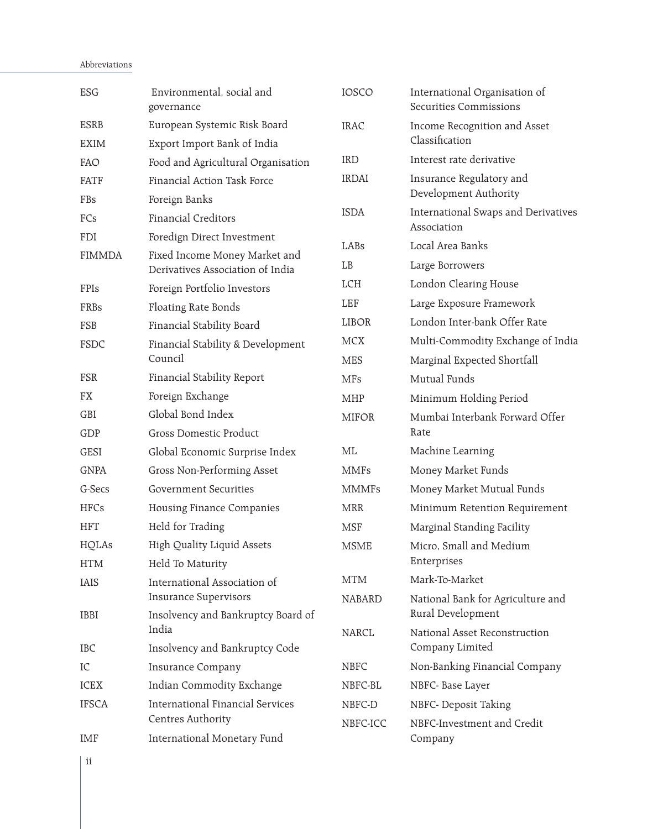## Abbreviations

| <b>ESG</b>    | Environmental, social and<br>governance                           | <b>IOSCO</b>  | International Organisation of<br><b>Securities Commissions</b> |
|---------------|-------------------------------------------------------------------|---------------|----------------------------------------------------------------|
| <b>ESRB</b>   | European Systemic Risk Board                                      | <b>IRAC</b>   | Income Recognition and Asset                                   |
| <b>EXIM</b>   | Export Import Bank of India                                       |               | Classification                                                 |
| FAO           | Food and Agricultural Organisation                                | <b>IRD</b>    | Interest rate derivative                                       |
| <b>FATF</b>   | Financial Action Task Force                                       | <b>IRDAI</b>  | Insurance Regulatory and<br>Development Authority              |
| FBs           | Foreign Banks                                                     | <b>ISDA</b>   | International Swaps and Derivatives                            |
| FCs           | <b>Financial Creditors</b>                                        |               | Association                                                    |
| <b>FDI</b>    | Foredign Direct Investment                                        | LABs          | Local Area Banks                                               |
| <b>FIMMDA</b> | Fixed Income Money Market and<br>Derivatives Association of India | LB            | Large Borrowers                                                |
| FPIs          | Foreign Portfolio Investors                                       | LCH           | London Clearing House                                          |
| FRBs          | Floating Rate Bonds                                               | LEF           | Large Exposure Framework                                       |
| FSB           | Financial Stability Board                                         | LIBOR         | London Inter-bank Offer Rate                                   |
| FSDC          | Financial Stability & Development                                 | <b>MCX</b>    | Multi-Commodity Exchange of India                              |
|               | Council                                                           | <b>MES</b>    | Marginal Expected Shortfall                                    |
| <b>FSR</b>    | Financial Stability Report                                        | <b>MFs</b>    | Mutual Funds                                                   |
| FX            | Foreign Exchange                                                  | <b>MHP</b>    | Minimum Holding Period                                         |
| GBI           | Global Bond Index                                                 | <b>MIFOR</b>  | Mumbai Interbank Forward Offer                                 |
| GDP           | Gross Domestic Product                                            |               | Rate                                                           |
| <b>GESI</b>   | Global Economic Surprise Index                                    | ML            | Machine Learning                                               |
| <b>GNPA</b>   | Gross Non-Performing Asset                                        | <b>MMFs</b>   | Money Market Funds                                             |
| G-Secs        | <b>Government Securities</b>                                      | <b>MMMFs</b>  | Money Market Mutual Funds                                      |
| <b>HFCs</b>   | Housing Finance Companies                                         | <b>MRR</b>    | Minimum Retention Requirement                                  |
| <b>HFT</b>    | Held for Trading                                                  | <b>MSF</b>    | Marginal Standing Facility                                     |
| <b>HQLAs</b>  | <b>High Quality Liquid Assets</b>                                 | <b>MSME</b>   | Micro, Small and Medium                                        |
| <b>HTM</b>    | Held To Maturity                                                  |               | Enterprises                                                    |
| <b>IAIS</b>   | International Association of                                      | <b>MTM</b>    | Mark-To-Market                                                 |
|               | <b>Insurance Supervisors</b>                                      | <b>NABARD</b> | National Bank for Agriculture and                              |
| <b>IBBI</b>   | Insolvency and Bankruptcy Board of<br>India                       | <b>NARCL</b>  | Rural Development<br>National Asset Reconstruction             |
| <b>IBC</b>    | Insolvency and Bankruptcy Code                                    |               | Company Limited                                                |
| IC            | <b>Insurance Company</b>                                          | <b>NBFC</b>   | Non-Banking Financial Company                                  |
| <b>ICEX</b>   | Indian Commodity Exchange                                         | NBFC-BL       | NBFC- Base Layer                                               |
| <b>IFSCA</b>  | International Financial Services                                  | NBFC-D        | NBFC- Deposit Taking                                           |
|               | Centres Authority                                                 | NBFC-ICC      | NBFC-Investment and Credit                                     |
| <b>IMF</b>    | International Monetary Fund                                       |               | Company                                                        |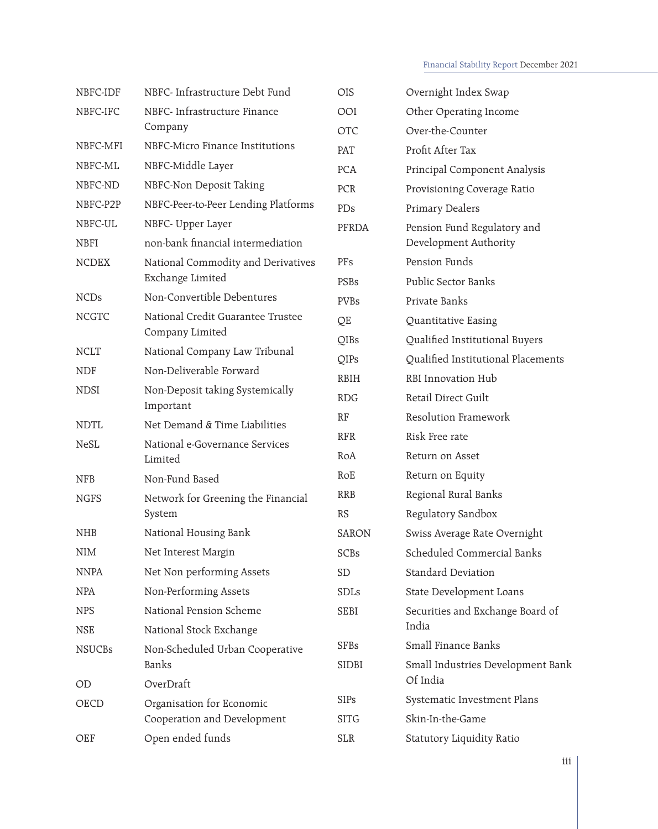## Financial Stability Report December 2021

| NBFC-IDF      | NBFC- Infrastructure Debt Fund                         | <b>OIS</b>   | Overnight Index Swap               |
|---------------|--------------------------------------------------------|--------------|------------------------------------|
| NBFC-IFC      | NBFC- Infrastructure Finance<br>Company                | OOI          | Other Operating Income             |
|               |                                                        | <b>OTC</b>   | Over-the-Counter                   |
| NBFC-MFI      | NBFC-Micro Finance Institutions                        | PAT          | Profit After Tax                   |
| NBFC-ML       | NBFC-Middle Layer                                      | <b>PCA</b>   | Principal Component Analysis       |
| NBFC-ND       | NBFC-Non Deposit Taking                                | PCR          | Provisioning Coverage Ratio        |
| NBFC-P2P      | NBFC-Peer-to-Peer Lending Platforms                    | PDs          | Primary Dealers                    |
| NBFC-UL       | NBFC- Upper Layer                                      | PFRDA        | Pension Fund Regulatory and        |
| <b>NBFI</b>   | non-bank financial intermediation                      |              | Development Authority              |
| <b>NCDEX</b>  | National Commodity and Derivatives<br>Exchange Limited | PFs          | Pension Funds                      |
|               |                                                        | <b>PSBs</b>  | Public Sector Banks                |
| <b>NCDs</b>   | Non-Convertible Debentures                             | <b>PVBs</b>  | Private Banks                      |
| <b>NCGTC</b>  | National Credit Guarantee Trustee                      | QE           | Quantitative Easing                |
|               | Company Limited                                        | QIBs         | Qualified Institutional Buyers     |
| <b>NCLT</b>   | National Company Law Tribunal                          | QIPs         | Qualified Institutional Placements |
| <b>NDF</b>    | Non-Deliverable Forward                                | <b>RBIH</b>  | RBI Innovation Hub                 |
| <b>NDSI</b>   | Non-Deposit taking Systemically<br>Important           | <b>RDG</b>   | Retail Direct Guilt                |
| <b>NDTL</b>   | Net Demand & Time Liabilities                          | RF           | Resolution Framework               |
| <b>NeSL</b>   | National e-Governance Services                         | <b>RFR</b>   | Risk Free rate                     |
|               | Limited                                                | RoA          | Return on Asset                    |
| <b>NFB</b>    | Non-Fund Based                                         | RoE          | Return on Equity                   |
| <b>NGFS</b>   | Network for Greening the Financial<br>System           | <b>RRB</b>   | Regional Rural Banks               |
|               |                                                        | <b>RS</b>    | Regulatory Sandbox                 |
| <b>NHB</b>    | National Housing Bank                                  | <b>SARON</b> | Swiss Average Rate Overnight       |
| <b>NIM</b>    | Net Interest Margin                                    | SCBs         | Scheduled Commercial Banks         |
| <b>NNPA</b>   | Net Non performing Assets                              | <b>SD</b>    | <b>Standard Deviation</b>          |
| <b>NPA</b>    | Non-Performing Assets                                  | <b>SDLs</b>  | <b>State Development Loans</b>     |
| <b>NPS</b>    | National Pension Scheme                                | <b>SEBI</b>  | Securities and Exchange Board of   |
| <b>NSE</b>    | National Stock Exchange                                |              | India                              |
| <b>NSUCBs</b> | Non-Scheduled Urban Cooperative<br>Banks               | <b>SFBs</b>  | Small Finance Banks                |
|               |                                                        | <b>SIDBI</b> | Small Industries Development Bank  |
| OD            | OverDraft                                              |              | Of India                           |
| OECD          | Organisation for Economic                              | <b>SIPs</b>  | Systematic Investment Plans        |
|               | Cooperation and Development                            | <b>SITG</b>  | Skin-In-the-Game                   |
| OEF           | Open ended funds                                       | <b>SLR</b>   | Statutory Liquidity Ratio          |